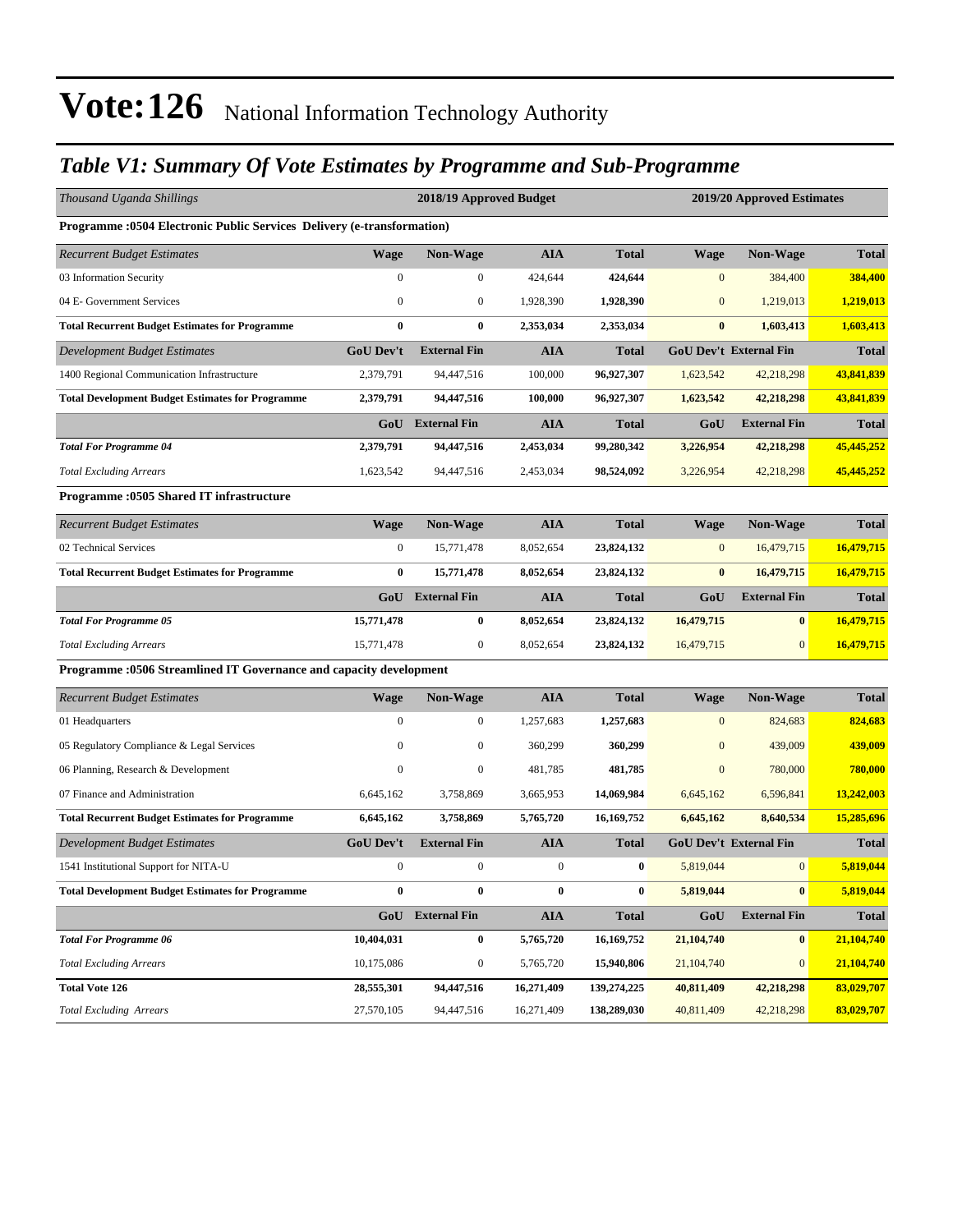#### *Table V1: Summary Of Vote Estimates by Programme and Sub-Programme*

| Thousand Uganda Shillings                                                     |                  | 2018/19 Approved Budget |                  | 2019/20 Approved Estimates |              |                               |              |  |
|-------------------------------------------------------------------------------|------------------|-------------------------|------------------|----------------------------|--------------|-------------------------------|--------------|--|
| <b>Programme: 0504 Electronic Public Services Delivery (e-transformation)</b> |                  |                         |                  |                            |              |                               |              |  |
| <b>Recurrent Budget Estimates</b>                                             | <b>Wage</b>      | <b>Non-Wage</b>         | <b>AIA</b>       | <b>Total</b>               | <b>Wage</b>  | <b>Non-Wage</b>               | <b>Total</b> |  |
| 03 Information Security                                                       | $\boldsymbol{0}$ | $\boldsymbol{0}$        | 424,644          | 424,644                    | $\mathbf{0}$ | 384,400                       | 384,400      |  |
| 04 E- Government Services                                                     | $\mathbf{0}$     | $\mathbf{0}$            | 1,928,390        | 1,928,390                  | $\mathbf{0}$ | 1,219,013                     | 1,219,013    |  |
| <b>Total Recurrent Budget Estimates for Programme</b>                         | $\bf{0}$         | $\bf{0}$                | 2,353,034        | 2,353,034                  | $\bf{0}$     | 1,603,413                     | 1,603,413    |  |
| Development Budget Estimates                                                  | <b>GoU Dev't</b> | <b>External Fin</b>     | <b>AIA</b>       | <b>Total</b>               |              | <b>GoU Dev't External Fin</b> | <b>Total</b> |  |
| 1400 Regional Communication Infrastructure                                    | 2,379,791        | 94,447,516              | 100,000          | 96,927,307                 | 1,623,542    | 42,218,298                    | 43,841,839   |  |
| <b>Total Development Budget Estimates for Programme</b>                       | 2,379,791        | 94,447,516              | 100,000          | 96,927,307                 | 1,623,542    | 42,218,298                    | 43,841,839   |  |
|                                                                               | GoU              | <b>External Fin</b>     | <b>AIA</b>       | <b>Total</b>               | GoU          | <b>External Fin</b>           | <b>Total</b> |  |
| <b>Total For Programme 04</b>                                                 | 2,379,791        | 94,447,516              | 2,453,034        | 99,280,342                 | 3,226,954    | 42,218,298                    | 45,445,252   |  |
| <b>Total Excluding Arrears</b>                                                | 1,623,542        | 94,447,516              | 2,453,034        | 98,524,092                 | 3,226,954    | 42,218,298                    | 45,445,252   |  |
| Programme :0505 Shared IT infrastructure                                      |                  |                         |                  |                            |              |                               |              |  |
| <b>Recurrent Budget Estimates</b>                                             | <b>Wage</b>      | <b>Non-Wage</b>         | <b>AIA</b>       | <b>Total</b>               | <b>Wage</b>  | <b>Non-Wage</b>               | <b>Total</b> |  |
| 02 Technical Services                                                         | $\boldsymbol{0}$ | 15,771,478              | 8,052,654        | 23,824,132                 | $\mathbf{0}$ | 16,479,715                    | 16,479,715   |  |
| <b>Total Recurrent Budget Estimates for Programme</b>                         | $\bf{0}$         | 15,771,478              | 8,052,654        | 23,824,132                 | $\bf{0}$     | 16,479,715                    | 16,479,715   |  |
|                                                                               | GoU              | <b>External Fin</b>     | <b>AIA</b>       | <b>Total</b>               | GoU          | <b>External Fin</b>           | <b>Total</b> |  |
| <b>Total For Programme 05</b>                                                 | 15,771,478       | $\bf{0}$                | 8,052,654        | 23,824,132                 | 16,479,715   | $\bf{0}$                      | 16,479,715   |  |
| <b>Total Excluding Arrears</b>                                                | 15,771,478       | $\mathbf{0}$            | 8,052,654        | 23,824,132                 | 16,479,715   | $\mathbf{0}$                  | 16,479,715   |  |
| Programme :0506 Streamlined IT Governance and capacity development            |                  |                         |                  |                            |              |                               |              |  |
| <b>Recurrent Budget Estimates</b>                                             | <b>Wage</b>      | <b>Non-Wage</b>         | <b>AIA</b>       | <b>Total</b>               | Wage         | Non-Wage                      | Total        |  |
| 01 Headquarters                                                               | $\mathbf{0}$     | $\boldsymbol{0}$        | 1,257,683        | 1,257,683                  | $\mathbf{0}$ | 824,683                       | 824,683      |  |
| 05 Regulatory Compliance & Legal Services                                     | $\boldsymbol{0}$ | $\boldsymbol{0}$        | 360,299          | 360,299                    | $\mathbf{0}$ | 439,009                       | 439,009      |  |
| 06 Planning, Research & Development                                           | $\bf{0}$         | $\boldsymbol{0}$        | 481,785          | 481,785                    | $\mathbf{0}$ | 780,000                       | 780,000      |  |
| 07 Finance and Administration                                                 | 6,645,162        | 3,758,869               | 3,665,953        | 14,069,984                 | 6,645,162    | 6,596,841                     | 13,242,003   |  |
| <b>Total Recurrent Budget Estimates for Programme</b>                         | 6,645,162        | 3,758,869               | 5,765,720        | 16,169,752                 | 6,645,162    | 8,640,534                     | 15,285,696   |  |
| <b>Development Budget Estimates</b>                                           | <b>GoU Dev't</b> | <b>External Fin</b>     | <b>AIA</b>       | <b>Total</b>               |              | <b>GoU Dev't External Fin</b> | <b>Total</b> |  |
| 1541 Institutional Support for NITA-U                                         | $\boldsymbol{0}$ | $\boldsymbol{0}$        | $\boldsymbol{0}$ | 0                          | 5,819,044    | $\mathbf{0}$                  | 5,819,044    |  |
| <b>Total Development Budget Estimates for Programme</b>                       | $\bf{0}$         | $\boldsymbol{0}$        | $\pmb{0}$        | $\pmb{0}$                  | 5,819,044    | $\bf{0}$                      | 5,819,044    |  |
|                                                                               |                  | <b>GoU</b> External Fin | <b>AIA</b>       | <b>Total</b>               | GoU          | <b>External Fin</b>           | <b>Total</b> |  |
| <b>Total For Programme 06</b>                                                 | 10,404,031       | $\bf{0}$                | 5,765,720        | 16,169,752                 | 21,104,740   | $\bf{0}$                      | 21,104,740   |  |
| <b>Total Excluding Arrears</b>                                                | 10,175,086       | $\boldsymbol{0}$        | 5,765,720        | 15,940,806                 | 21,104,740   | $\boldsymbol{0}$              | 21,104,740   |  |
| <b>Total Vote 126</b>                                                         | 28,555,301       | 94,447,516              | 16,271,409       | 139,274,225                | 40,811,409   | 42,218,298                    | 83,029,707   |  |
| Total Excluding Arrears                                                       | 27,570,105       | 94,447,516              | 16,271,409       | 138,289,030                | 40,811,409   | 42,218,298                    | 83,029,707   |  |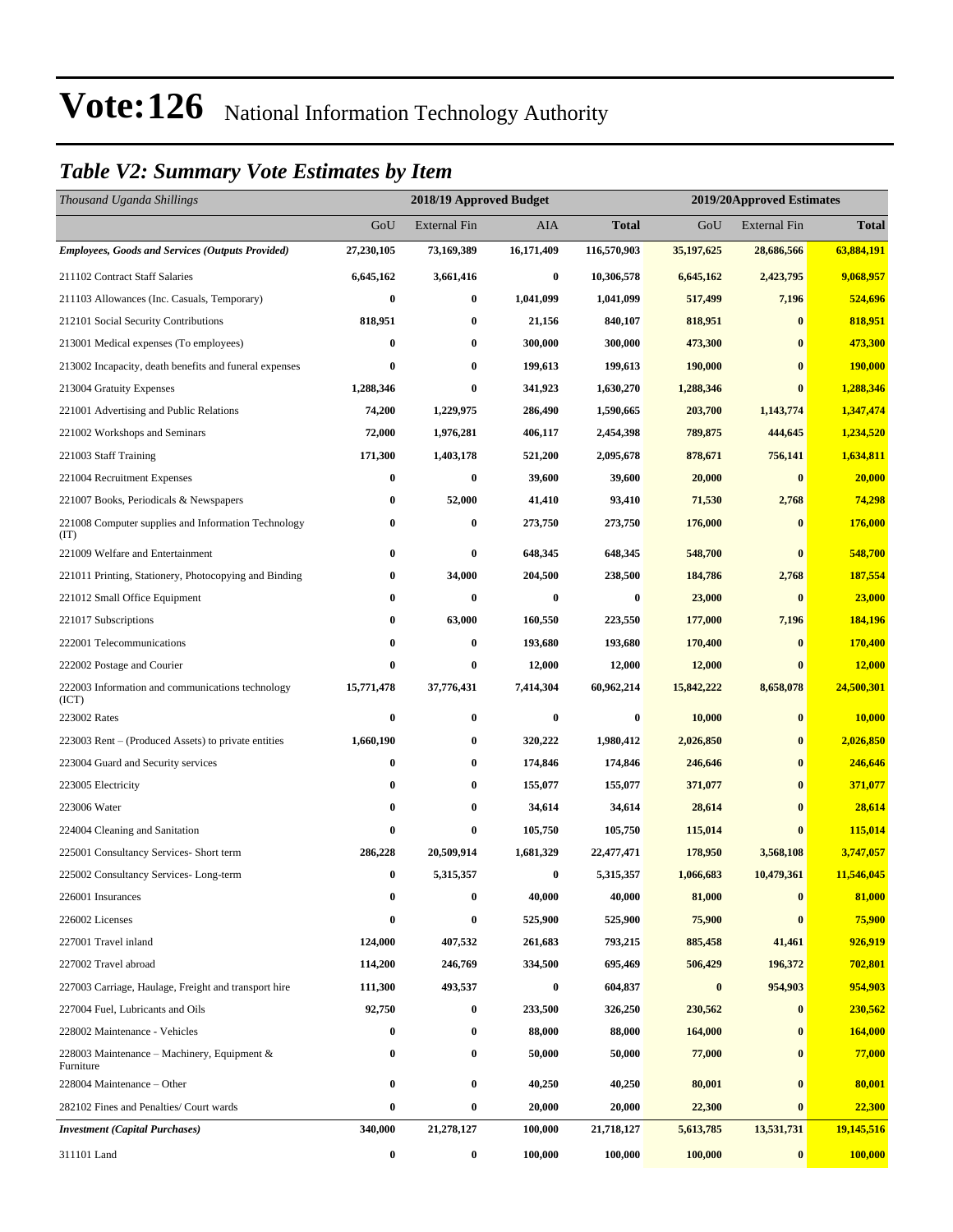#### *Table V2: Summary Vote Estimates by Item*

| Thousand Uganda Shillings                                   |            | 2018/19 Approved Budget |            |                  | 2019/20Approved Estimates |              |               |
|-------------------------------------------------------------|------------|-------------------------|------------|------------------|---------------------------|--------------|---------------|
|                                                             | GoU        | <b>External Fin</b>     | AIA        | <b>Total</b>     | GoU                       | External Fin | <b>Total</b>  |
| <b>Employees, Goods and Services (Outputs Provided)</b>     | 27,230,105 | 73,169,389              | 16,171,409 | 116,570,903      | 35,197,625                | 28,686,566   | 63,884,191    |
| 211102 Contract Staff Salaries                              | 6,645,162  | 3,661,416               | $\bf{0}$   | 10,306,578       | 6,645,162                 | 2,423,795    | 9,068,957     |
| 211103 Allowances (Inc. Casuals, Temporary)                 | 0          | $\bf{0}$                | 1,041,099  | 1,041,099        | 517,499                   | 7,196        | 524,696       |
| 212101 Social Security Contributions                        | 818,951    | $\boldsymbol{0}$        | 21,156     | 840,107          | 818,951                   | $\bf{0}$     | 818,951       |
| 213001 Medical expenses (To employees)                      | 0          | $\bf{0}$                | 300,000    | 300,000          | 473,300                   | $\bf{0}$     | 473,300       |
| 213002 Incapacity, death benefits and funeral expenses      | 0          | $\bf{0}$                | 199,613    | 199,613          | 190,000                   | $\bf{0}$     | 190,000       |
| 213004 Gratuity Expenses                                    | 1,288,346  | $\bf{0}$                | 341,923    | 1,630,270        | 1,288,346                 | $\bf{0}$     | 1,288,346     |
| 221001 Advertising and Public Relations                     | 74,200     | 1,229,975               | 286,490    | 1,590,665        | 203,700                   | 1,143,774    | 1,347,474     |
| 221002 Workshops and Seminars                               | 72,000     | 1,976,281               | 406,117    | 2,454,398        | 789,875                   | 444,645      | 1,234,520     |
| 221003 Staff Training                                       | 171,300    | 1,403,178               | 521,200    | 2,095,678        | 878,671                   | 756,141      | 1,634,811     |
| 221004 Recruitment Expenses                                 | 0          | $\bf{0}$                | 39,600     | 39,600           | 20,000                    | $\mathbf{0}$ | 20,000        |
| 221007 Books, Periodicals & Newspapers                      | $\bf{0}$   | 52,000                  | 41,410     | 93,410           | 71,530                    | 2,768        | 74,298        |
| 221008 Computer supplies and Information Technology<br>(TT) | 0          | $\boldsymbol{0}$        | 273,750    | 273,750          | 176,000                   | $\bf{0}$     | 176,000       |
| 221009 Welfare and Entertainment                            | $\bf{0}$   | $\bf{0}$                | 648,345    | 648,345          | 548,700                   | $\bf{0}$     | 548,700       |
| 221011 Printing, Stationery, Photocopying and Binding       | 0          | 34,000                  | 204,500    | 238,500          | 184,786                   | 2,768        | 187,554       |
| 221012 Small Office Equipment                               | 0          | $\bf{0}$                | $\bf{0}$   | $\bf{0}$         | 23,000                    | $\bf{0}$     | 23,000        |
| 221017 Subscriptions                                        | 0          | 63,000                  | 160,550    | 223,550          | 177,000                   | 7,196        | 184,196       |
| 222001 Telecommunications                                   | 0          | $\boldsymbol{0}$        | 193,680    | 193,680          | 170,400                   | $\bf{0}$     | 170,400       |
| 222002 Postage and Courier                                  | 0          | $\boldsymbol{0}$        | 12,000     | 12,000           | 12,000                    | $\bf{0}$     | <b>12,000</b> |
| 222003 Information and communications technology<br>(ICT)   | 15,771,478 | 37,776,431              | 7,414,304  | 60,962,214       | 15,842,222                | 8,658,078    | 24,500,301    |
| 223002 Rates                                                | $\bf{0}$   | $\boldsymbol{0}$        | $\bf{0}$   | $\boldsymbol{0}$ | 10,000                    | $\bf{0}$     | 10,000        |
| 223003 Rent – (Produced Assets) to private entities         | 1,660,190  | $\bf{0}$                | 320,222    | 1,980,412        | 2,026,850                 | $\bf{0}$     | 2,026,850     |
| 223004 Guard and Security services                          | 0          | $\bf{0}$                | 174,846    | 174,846          | 246,646                   | $\bf{0}$     | 246,646       |
| 223005 Electricity                                          | $\bf{0}$   | $\bf{0}$                | 155,077    | 155,077          | 371,077                   | $\bf{0}$     | 371,077       |
| 223006 Water                                                | 0          | $\bf{0}$                | 34,614     | 34,614           | 28,614                    | $\bf{0}$     | 28,614        |
| 224004 Cleaning and Sanitation                              | 0          | $\bf{0}$                | 105,750    | 105,750          | 115,014                   | $\bf{0}$     | 115,014       |
| 225001 Consultancy Services- Short term                     | 286,228    | 20,509,914              | 1,681,329  | 22,477,471       | 178,950                   | 3,568,108    | 3,747,057     |
| 225002 Consultancy Services-Long-term                       | 0          | 5,315,357               | $\bf{0}$   | 5,315,357        | 1,066,683                 | 10,479,361   | 11,546,045    |
| 226001 Insurances                                           | $\bf{0}$   | $\bf{0}$                | 40,000     | 40,000           | 81,000                    | $\bf{0}$     | 81,000        |
| 226002 Licenses                                             | 0          | $\bf{0}$                | 525,900    | 525,900          | 75,900                    | $\bf{0}$     | 75,900        |
| 227001 Travel inland                                        | 124,000    | 407,532                 | 261,683    | 793,215          | 885,458                   | 41,461       | 926,919       |
| 227002 Travel abroad                                        | 114,200    | 246,769                 | 334,500    | 695,469          | 506,429                   | 196,372      | 702,801       |
| 227003 Carriage, Haulage, Freight and transport hire        | 111,300    | 493,537                 | $\bf{0}$   | 604,837          | $\bf{0}$                  | 954,903      | 954,903       |
| 227004 Fuel, Lubricants and Oils                            | 92,750     | $\boldsymbol{0}$        | 233,500    | 326,250          | 230,562                   | $\bf{0}$     | 230,562       |
| 228002 Maintenance - Vehicles                               | 0          | $\boldsymbol{0}$        | 88,000     | 88,000           | 164,000                   | $\bf{0}$     | 164,000       |
| 228003 Maintenance – Machinery, Equipment $\&$<br>Furniture | 0          | $\boldsymbol{0}$        | 50,000     | 50,000           | 77,000                    | $\bf{0}$     | 77,000        |
| 228004 Maintenance – Other                                  | $\bf{0}$   | $\pmb{0}$               | 40,250     | 40,250           | 80,001                    | $\bf{0}$     | 80,001        |
| 282102 Fines and Penalties/ Court wards                     | 0          | $\boldsymbol{0}$        | 20,000     | 20,000           | 22,300                    | $\bf{0}$     | 22,300        |
| <b>Investment</b> (Capital Purchases)                       | 340,000    | 21,278,127              | 100,000    | 21,718,127       | 5,613,785                 | 13,531,731   | 19,145,516    |
| 311101 Land                                                 | $\bf{0}$   | $\boldsymbol{0}$        | 100,000    | 100,000          | 100,000                   | $\bf{0}$     | 100,000       |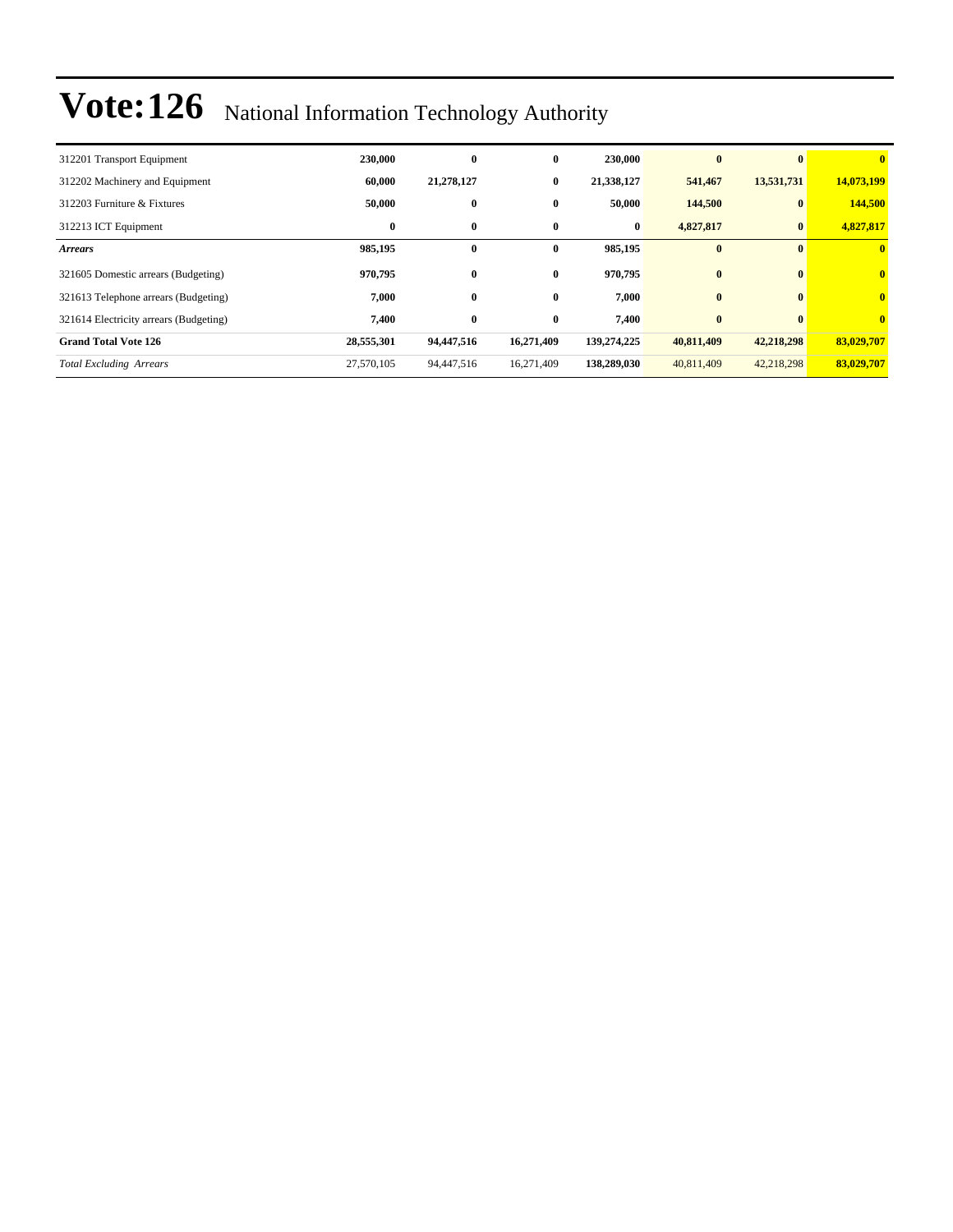| 312201 Transport Equipment             | 230,000    | 0          | $\bf{0}$     | 230,000     | $\mathbf{0}$ |              | $\bf{0}$                |
|----------------------------------------|------------|------------|--------------|-------------|--------------|--------------|-------------------------|
| 312202 Machinery and Equipment         | 60,000     | 21,278,127 | $\bf{0}$     | 21,338,127  | 541,467      | 13,531,731   | 14,073,199              |
| 312203 Furniture & Fixtures            | 50,000     | $\bf{0}$   | $\bf{0}$     | 50,000      | 144,500      | $\mathbf{0}$ | 144,500                 |
| 312213 ICT Equipment                   | $\bf{0}$   | $\bf{0}$   | $\bf{0}$     | $\bf{0}$    | 4,827,817    | $\mathbf{0}$ | 4,827,817               |
| <b>Arrears</b>                         | 985,195    | $\bf{0}$   | 0            | 985,195     | $\bf{0}$     |              | $\mathbf{0}$            |
| 321605 Domestic arrears (Budgeting)    | 970,795    | $\bf{0}$   | $\mathbf{0}$ | 970,795     | $\bf{0}$     | $\mathbf{0}$ | $\overline{\mathbf{0}}$ |
| 321613 Telephone arrears (Budgeting)   | 7,000      | $\bf{0}$   | $\mathbf{0}$ | 7,000       | $\bf{0}$     | $\mathbf{0}$ | $\mathbf{0}$            |
| 321614 Electricity arrears (Budgeting) | 7,400      | $\bf{0}$   | $\bf{0}$     | 7,400       | $\bf{0}$     |              | $\mathbf{0}$            |
| <b>Grand Total Vote 126</b>            | 28,555,301 | 94,447,516 | 16,271,409   | 139,274,225 | 40,811,409   | 42,218,298   | 83,029,707              |
| <b>Total Excluding Arrears</b>         | 27,570,105 | 94,447,516 | 16,271,409   | 138,289,030 | 40,811,409   | 42,218,298   | 83,029,707              |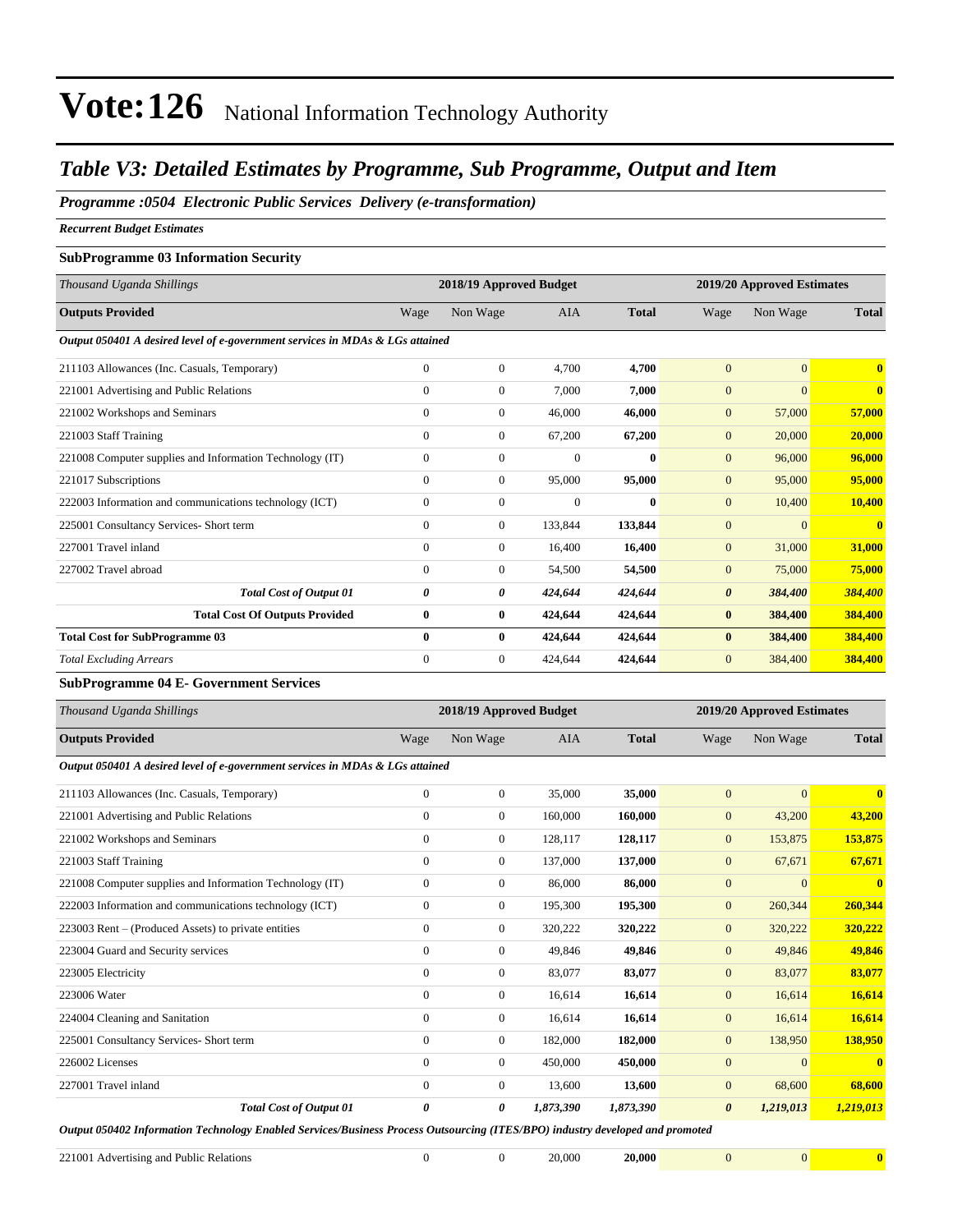#### *Table V3: Detailed Estimates by Programme, Sub Programme, Output and Item*

*Programme :0504 Electronic Public Services Delivery (e-transformation)*

*Recurrent Budget Estimates*

#### **SubProgramme 03 Information Security**

| Thousand Uganda Shillings                                                     |              | 2018/19 Approved Budget |            |              |                       | 2019/20 Approved Estimates |                         |  |
|-------------------------------------------------------------------------------|--------------|-------------------------|------------|--------------|-----------------------|----------------------------|-------------------------|--|
| <b>Outputs Provided</b>                                                       | Wage         | Non Wage                | <b>AIA</b> | <b>Total</b> | Wage                  | Non Wage                   | <b>Total</b>            |  |
| Output 050401 A desired level of e-government services in MDAs & LGs attained |              |                         |            |              |                       |                            |                         |  |
| 211103 Allowances (Inc. Casuals, Temporary)                                   | $\mathbf{0}$ | $\overline{0}$          | 4.700      | 4,700        | $\overline{0}$        | $\overline{0}$             | $\mathbf{0}$            |  |
| 221001 Advertising and Public Relations                                       | $\mathbf{0}$ | $\overline{0}$          | 7,000      | 7,000        | $\mathbf{0}$          | $\overline{0}$             | $\mathbf{0}$            |  |
| 221002 Workshops and Seminars                                                 | $\Omega$     | $\boldsymbol{0}$        | 46,000     | 46,000       | $\mathbf{0}$          | 57,000                     | 57,000                  |  |
| 221003 Staff Training                                                         | $\Omega$     | $\overline{0}$          | 67,200     | 67,200       | $\mathbf{0}$          | 20,000                     | 20,000                  |  |
| 221008 Computer supplies and Information Technology (IT)                      | $\Omega$     | $\mathbf{0}$            | $\Omega$   | $\mathbf{0}$ | $\overline{0}$        | 96,000                     | 96,000                  |  |
| 221017 Subscriptions                                                          | $\Omega$     | $\overline{0}$          | 95,000     | 95,000       | $\overline{0}$        | 95,000                     | 95,000                  |  |
| 222003 Information and communications technology (ICT)                        | $\mathbf{0}$ | $\mathbf{0}$            | $\Omega$   | $\mathbf{0}$ | $\overline{0}$        | 10,400                     | 10,400                  |  |
| 225001 Consultancy Services- Short term                                       | $\mathbf{0}$ | $\overline{0}$          | 133,844    | 133,844      | $\overline{0}$        | $\overline{0}$             | $\overline{\mathbf{0}}$ |  |
| 227001 Travel inland                                                          | $\mathbf{0}$ | $\overline{0}$          | 16,400     | 16,400       | $\mathbf{0}$          | 31,000                     | 31,000                  |  |
| 227002 Travel abroad                                                          | $\Omega$     | $\overline{0}$          | 54,500     | 54,500       | $\mathbf{0}$          | 75,000                     | 75,000                  |  |
| <b>Total Cost of Output 01</b>                                                | 0            | 0                       | 424,644    | 424,644      | $\boldsymbol{\theta}$ | 384,400                    | 384,400                 |  |
| <b>Total Cost Of Outputs Provided</b>                                         | $\bf{0}$     | $\bf{0}$                | 424,644    | 424,644      | $\bf{0}$              | 384,400                    | 384,400                 |  |
| <b>Total Cost for SubProgramme 03</b>                                         | $\bf{0}$     | $\bf{0}$                | 424,644    | 424,644      | $\bf{0}$              | 384,400                    | 384,400                 |  |
| <b>Total Excluding Arrears</b>                                                | $\mathbf{0}$ | $\overline{0}$          | 424,644    | 424,644      | $\overline{0}$        | 384,400                    | 384,400                 |  |

#### **SubProgramme 04 E- Government Services**

| Thousand Uganda Shillings                                                     |                       | 2018/19 Approved Budget |            |              |                       | 2019/20 Approved Estimates |                         |
|-------------------------------------------------------------------------------|-----------------------|-------------------------|------------|--------------|-----------------------|----------------------------|-------------------------|
| <b>Outputs Provided</b>                                                       | Wage                  | Non Wage                | <b>AIA</b> | <b>Total</b> | Wage                  | Non Wage                   | <b>Total</b>            |
| Output 050401 A desired level of e-government services in MDAs & LGs attained |                       |                         |            |              |                       |                            |                         |
| 211103 Allowances (Inc. Casuals, Temporary)                                   | $\mathbf{0}$          | $\overline{0}$          | 35,000     | 35,000       | $\overline{0}$        | $\overline{0}$             | $\mathbf{0}$            |
| 221001 Advertising and Public Relations                                       | $\Omega$              | $\overline{0}$          | 160,000    | 160,000      | $\mathbf{0}$          | 43,200                     | 43,200                  |
| 221002 Workshops and Seminars                                                 | $\Omega$              | $\overline{0}$          | 128,117    | 128,117      | $\mathbf{0}$          | 153,875                    | 153,875                 |
| 221003 Staff Training                                                         | $\mathbf{0}$          | $\overline{0}$          | 137,000    | 137,000      | $\mathbf{0}$          | 67,671                     | 67,671                  |
| 221008 Computer supplies and Information Technology (IT)                      | $\mathbf{0}$          | $\overline{0}$          | 86,000     | 86,000       | $\mathbf{0}$          | $\Omega$                   | $\overline{\mathbf{0}}$ |
| 222003 Information and communications technology (ICT)                        | $\mathbf{0}$          | $\overline{0}$          | 195,300    | 195,300      | $\overline{0}$        | 260,344                    | 260,344                 |
| 223003 Rent – (Produced Assets) to private entities                           | $\mathbf{0}$          | 0                       | 320,222    | 320,222      | $\mathbf{0}$          | 320,222                    | 320,222                 |
| 223004 Guard and Security services                                            | $\mathbf{0}$          | $\overline{0}$          | 49,846     | 49,846       | $\mathbf{0}$          | 49,846                     | 49,846                  |
| 223005 Electricity                                                            | $\mathbf{0}$          | $\overline{0}$          | 83,077     | 83,077       | $\mathbf{0}$          | 83,077                     | 83,077                  |
| 223006 Water                                                                  | $\overline{0}$        | 0                       | 16,614     | 16,614       | $\mathbf{0}$          | 16,614                     | 16,614                  |
| 224004 Cleaning and Sanitation                                                | $\mathbf{0}$          | 0                       | 16,614     | 16,614       | $\mathbf{0}$          | 16,614                     | 16,614                  |
| 225001 Consultancy Services- Short term                                       | $\mathbf{0}$          | $\overline{0}$          | 182,000    | 182,000      | $\mathbf{0}$          | 138,950                    | 138,950                 |
| 226002 Licenses                                                               | $\overline{0}$        | $\overline{0}$          | 450,000    | 450,000      | $\mathbf{0}$          | $\overline{0}$             | $\mathbf{0}$            |
| 227001 Travel inland                                                          | $\Omega$              | $\overline{0}$          | 13,600     | 13,600       | $\mathbf{0}$          | 68,600                     | 68,600                  |
| <b>Total Cost of Output 01</b>                                                | $\boldsymbol{\theta}$ | 0                       | 1,873,390  | 1,873,390    | $\boldsymbol{\theta}$ | 1,219,013                  | 1,219,013               |

*Output 050402 Information Technology Enabled Services/Business Process Outsourcing (ITES/BPO) industry developed and promoted*

221001 Advertising and Public Relations 0 0 20,000 **20,000** 0 0 **0**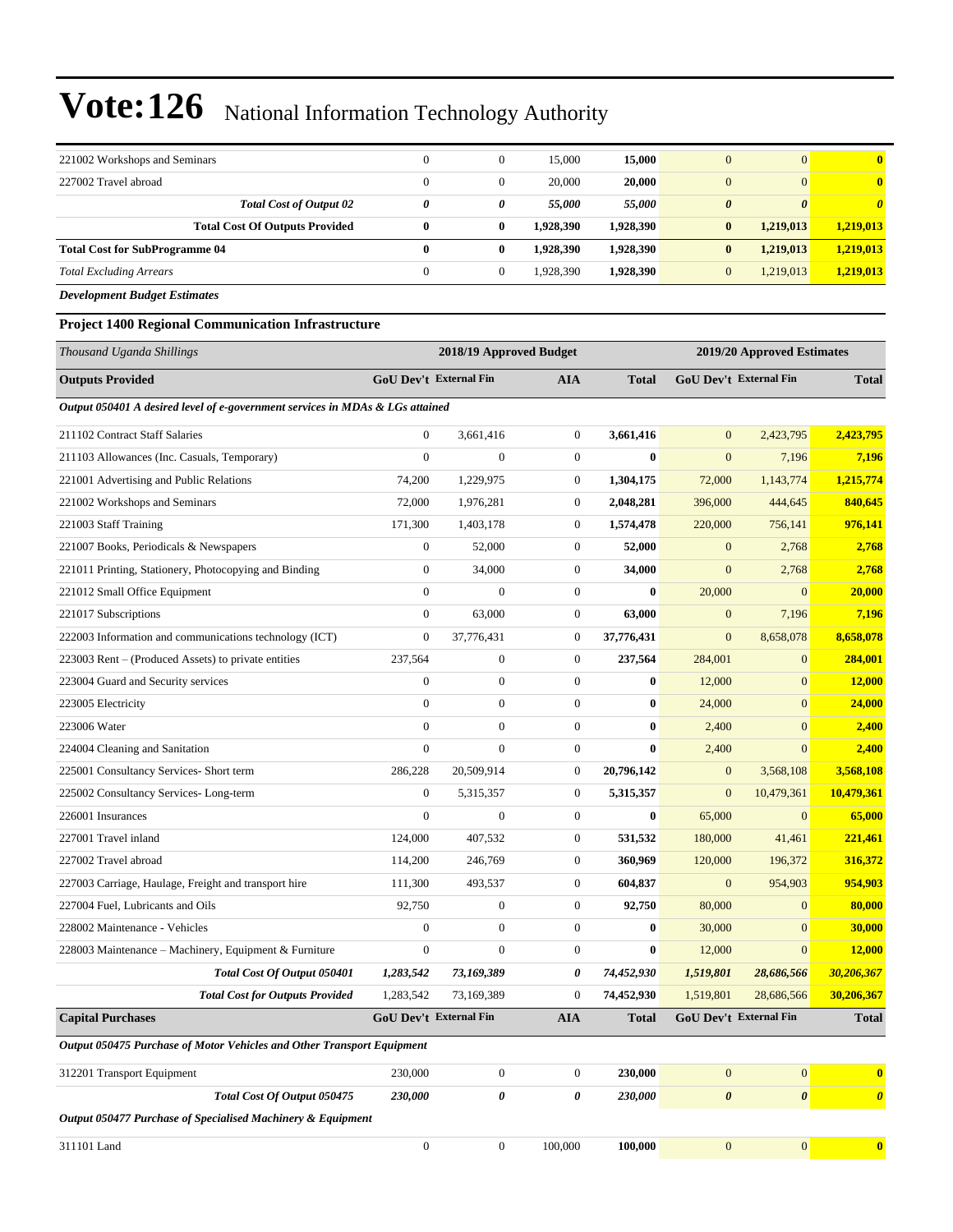| 221002 Workshops and Seminars         | $\Omega$ | $\Omega$ | 15,000    | 15,000    | $\overline{0}$        | $\overline{0}$        | 0                     |
|---------------------------------------|----------|----------|-----------|-----------|-----------------------|-----------------------|-----------------------|
| 227002 Travel abroad                  | $\Omega$ | 0        | 20,000    | 20,000    | $\overline{0}$        | $\overline{0}$        | $\bf{0}$              |
| <b>Total Cost of Output 02</b>        | 0        | 0        | 55.000    | 55,000    | $\boldsymbol{\theta}$ | $\boldsymbol{\theta}$ | $\boldsymbol{\theta}$ |
| <b>Total Cost Of Outputs Provided</b> | 0        | 0        | 1.928.390 | 1,928,390 | $\bf{0}$              | 1,219,013             | 1,219,013             |
| <b>Total Cost for SubProgramme 04</b> | 0        | 0        | 1,928,390 | 1,928,390 | $\bf{0}$              | 1,219,013             | 1.219.013             |
| <b>Total Excluding Arrears</b>        | $\Omega$ | 0        | 1,928,390 | 1,928,390 | $\overline{0}$        | 1,219,013             | 1,219,013             |

*Development Budget Estimates*

**Project 1400 Regional Communication Infrastructure**

| Thousand Uganda Shillings                                                     |                               | 2018/19 Approved Budget |                       |              |                       | 2019/20 Approved Estimates |                       |
|-------------------------------------------------------------------------------|-------------------------------|-------------------------|-----------------------|--------------|-----------------------|----------------------------|-----------------------|
| <b>Outputs Provided</b>                                                       | <b>GoU Dev't External Fin</b> |                         | <b>AIA</b>            | <b>Total</b> |                       | GoU Dev't External Fin     | <b>Total</b>          |
| Output 050401 A desired level of e-government services in MDAs & LGs attained |                               |                         |                       |              |                       |                            |                       |
| 211102 Contract Staff Salaries                                                | $\boldsymbol{0}$              | 3,661,416               | $\mathbf{0}$          | 3,661,416    | $\mathbf{0}$          | 2,423,795                  | 2,423,795             |
| 211103 Allowances (Inc. Casuals, Temporary)                                   | $\overline{0}$                | $\overline{0}$          | $\mathbf{0}$          | $\bf{0}$     | $\mathbf{0}$          | 7,196                      | 7,196                 |
| 221001 Advertising and Public Relations                                       | 74,200                        | 1,229,975               | $\boldsymbol{0}$      | 1,304,175    | 72,000                | 1,143,774                  | 1,215,774             |
| 221002 Workshops and Seminars                                                 | 72,000                        | 1,976,281               | $\mathbf{0}$          | 2,048,281    | 396,000               | 444,645                    | 840,645               |
| 221003 Staff Training                                                         | 171,300                       | 1,403,178               | $\boldsymbol{0}$      | 1,574,478    | 220,000               | 756,141                    | 976,141               |
| 221007 Books, Periodicals & Newspapers                                        | $\boldsymbol{0}$              | 52,000                  | $\mathbf{0}$          | 52,000       | $\mathbf{0}$          | 2,768                      | 2,768                 |
| 221011 Printing, Stationery, Photocopying and Binding                         | $\overline{0}$                | 34,000                  | $\overline{0}$        | 34,000       | $\boldsymbol{0}$      | 2,768                      | 2,768                 |
| 221012 Small Office Equipment                                                 | $\overline{0}$                | $\overline{0}$          | $\mathbf{0}$          | $\bf{0}$     | 20,000                | $\mathbf{0}$               | 20,000                |
| 221017 Subscriptions                                                          | $\overline{0}$                | 63,000                  | $\mathbf{0}$          | 63,000       | $\overline{0}$        | 7,196                      | 7,196                 |
| 222003 Information and communications technology (ICT)                        | $\mathbf{0}$                  | 37,776,431              | $\mathbf{0}$          | 37,776,431   | $\mathbf{0}$          | 8,658,078                  | 8,658,078             |
| 223003 Rent – (Produced Assets) to private entities                           | 237,564                       | $\boldsymbol{0}$        | $\mathbf{0}$          | 237,564      | 284,001               | $\overline{0}$             | 284,001               |
| 223004 Guard and Security services                                            | $\boldsymbol{0}$              | $\boldsymbol{0}$        | $\mathbf{0}$          | $\bf{0}$     | 12,000                | $\mathbf{0}$               | 12,000                |
| 223005 Electricity                                                            | $\overline{0}$                | $\boldsymbol{0}$        | $\mathbf{0}$          | $\bf{0}$     | 24,000                | $\overline{0}$             | 24,000                |
| 223006 Water                                                                  | $\boldsymbol{0}$              | $\boldsymbol{0}$        | $\boldsymbol{0}$      | $\bf{0}$     | 2,400                 | $\overline{0}$             | 2,400                 |
| 224004 Cleaning and Sanitation                                                | $\overline{0}$                | $\mathbf{0}$            | $\mathbf{0}$          | $\bf{0}$     | 2,400                 | $\overline{0}$             | 2,400                 |
| 225001 Consultancy Services- Short term                                       | 286,228                       | 20,509,914              | $\mathbf{0}$          | 20,796,142   | $\mathbf{0}$          | 3,568,108                  | 3,568,108             |
| 225002 Consultancy Services-Long-term                                         | $\boldsymbol{0}$              | 5,315,357               | $\mathbf{0}$          | 5,315,357    | $\mathbf{0}$          | 10,479,361                 | 10,479,361            |
| 226001 Insurances                                                             | $\mathbf{0}$                  | $\boldsymbol{0}$        | $\boldsymbol{0}$      | $\bf{0}$     | 65,000                | $\mathbf{0}$               | 65,000                |
| 227001 Travel inland                                                          | 124,000                       | 407,532                 | $\mathbf{0}$          | 531,532      | 180,000               | 41,461                     | 221,461               |
| 227002 Travel abroad                                                          | 114,200                       | 246,769                 | $\boldsymbol{0}$      | 360,969      | 120,000               | 196,372                    | 316,372               |
| 227003 Carriage, Haulage, Freight and transport hire                          | 111,300                       | 493,537                 | $\mathbf{0}$          | 604,837      | $\mathbf{0}$          | 954,903                    | 954,903               |
| 227004 Fuel, Lubricants and Oils                                              | 92,750                        | $\boldsymbol{0}$        | $\mathbf{0}$          | 92,750       | 80,000                | $\mathbf{0}$               | 80,000                |
| 228002 Maintenance - Vehicles                                                 | $\boldsymbol{0}$              | $\boldsymbol{0}$        | $\boldsymbol{0}$      | $\bf{0}$     | 30,000                | $\overline{0}$             | 30,000                |
| 228003 Maintenance - Machinery, Equipment & Furniture                         | $\mathbf{0}$                  | $\overline{0}$          | $\mathbf{0}$          | $\bf{0}$     | 12,000                | $\overline{0}$             | 12,000                |
| Total Cost Of Output 050401                                                   | 1,283,542                     | 73,169,389              | 0                     | 74,452,930   | 1,519,801             | 28,686,566                 | 30,206,367            |
| <b>Total Cost for Outputs Provided</b>                                        | 1,283,542                     | 73,169,389              | $\mathbf{0}$          | 74,452,930   | 1,519,801             | 28,686,566                 | 30,206,367            |
| <b>Capital Purchases</b>                                                      |                               | GoU Dev't External Fin  | <b>AIA</b>            | <b>Total</b> |                       | GoU Dev't External Fin     | <b>Total</b>          |
| Output 050475 Purchase of Motor Vehicles and Other Transport Equipment        |                               |                         |                       |              |                       |                            |                       |
| 312201 Transport Equipment                                                    | 230,000                       | $\boldsymbol{0}$        | $\mathbf{0}$          | 230,000      | $\overline{0}$        | $\overline{0}$             | $\bf{0}$              |
| Total Cost Of Output 050475                                                   | 230,000                       | 0                       | $\boldsymbol{\theta}$ | 230,000      | $\boldsymbol{\theta}$ | $\boldsymbol{\theta}$      | $\boldsymbol{\theta}$ |
| Output 050477 Purchase of Specialised Machinery & Equipment                   |                               |                         |                       |              |                       |                            |                       |
| 311101 Land                                                                   | $\mathbf{0}$                  | $\mathbf{0}$            | 100,000               | 100,000      | $\overline{0}$        | $\overline{0}$             | $\mathbf{0}$          |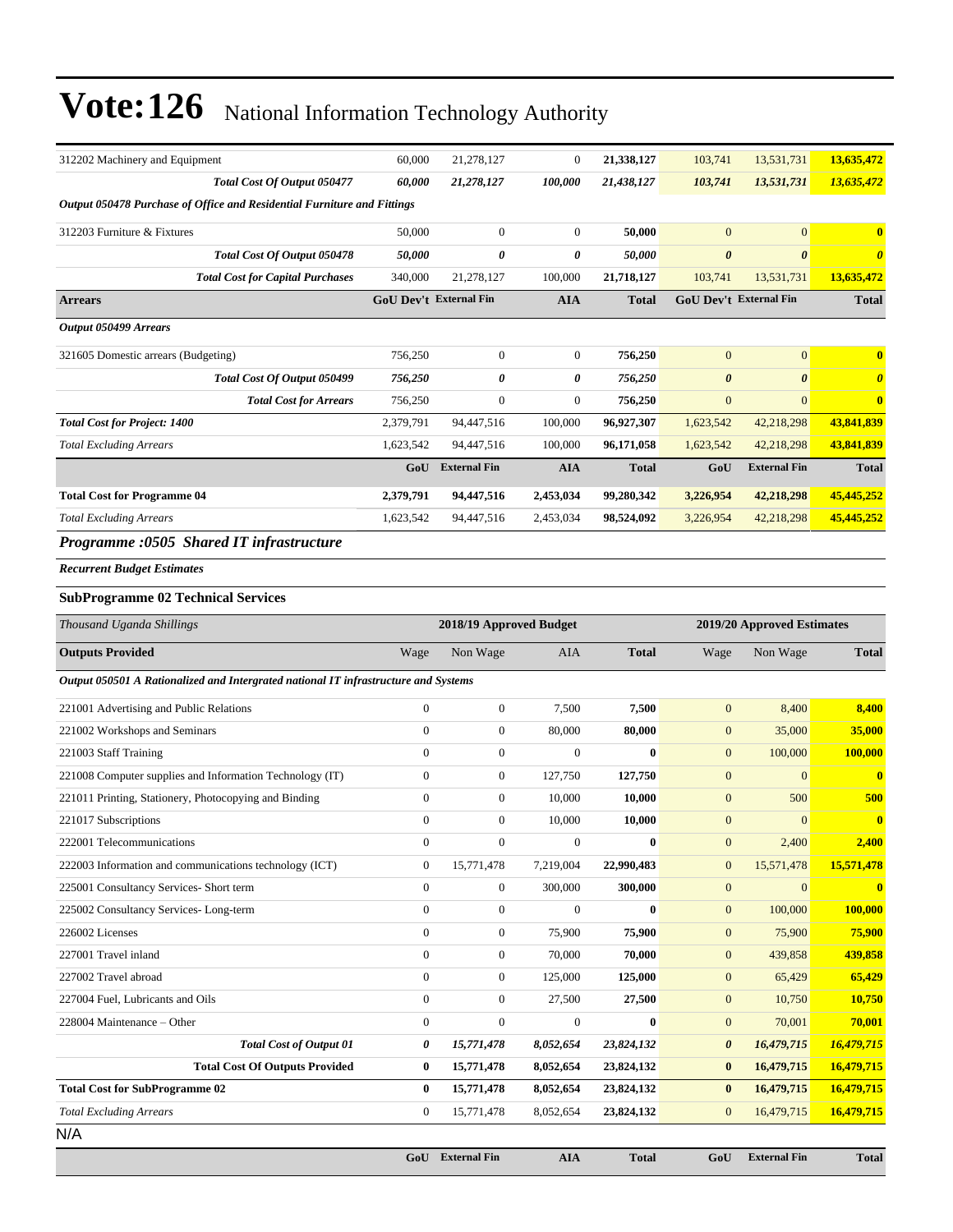| 312202 Machinery and Equipment                                                      | 60,000                        | 21,278,127              | $\mathbf{0}$     | 21,338,127   | 103,741                | 13,531,731                 | 13,635,472            |
|-------------------------------------------------------------------------------------|-------------------------------|-------------------------|------------------|--------------|------------------------|----------------------------|-----------------------|
| Total Cost Of Output 050477                                                         | 60,000                        | 21,278,127              | 100,000          | 21,438,127   | 103,741                | 13,531,731                 | 13,635,472            |
| Output 050478 Purchase of Office and Residential Furniture and Fittings             |                               |                         |                  |              |                        |                            |                       |
| 312203 Furniture & Fixtures                                                         | 50,000                        | $\boldsymbol{0}$        | $\mathbf{0}$     | 50,000       | $\mathbf{0}$           | $\mathbf{0}$               | $\bf{0}$              |
| Total Cost Of Output 050478                                                         | 50,000                        | 0                       | 0                | 50,000       | $\boldsymbol{\theta}$  | $\boldsymbol{\theta}$      | $\boldsymbol{\theta}$ |
| <b>Total Cost for Capital Purchases</b>                                             | 340,000                       | 21,278,127              | 100,000          | 21,718,127   | 103,741                | 13,531,731                 | 13,635,472            |
| <b>Arrears</b>                                                                      | <b>GoU Dev't External Fin</b> |                         | <b>AIA</b>       | <b>Total</b> | GoU Dev't External Fin |                            | <b>Total</b>          |
| Output 050499 Arrears                                                               |                               |                         |                  |              |                        |                            |                       |
| 321605 Domestic arrears (Budgeting)                                                 | 756,250                       | $\boldsymbol{0}$        | $\mathbf{0}$     | 756,250      | $\mathbf{0}$           | $\mathbf{0}$               | $\bf{0}$              |
| Total Cost Of Output 050499                                                         | 756,250                       | 0                       | 0                | 756,250      | $\boldsymbol{\theta}$  | $\boldsymbol{\theta}$      | $\boldsymbol{\theta}$ |
| <b>Total Cost for Arrears</b>                                                       | 756,250                       | $\boldsymbol{0}$        | $\boldsymbol{0}$ | 756,250      | $\mathbf{0}$           | $\mathbf{0}$               | $\bf{0}$              |
| <b>Total Cost for Project: 1400</b>                                                 | 2,379,791                     | 94,447,516              | 100,000          | 96,927,307   | 1,623,542              | 42,218,298                 | 43,841,839            |
| <b>Total Excluding Arrears</b>                                                      | 1,623,542                     | 94,447,516              | 100,000          | 96,171,058   | 1,623,542              | 42,218,298                 | 43,841,839            |
|                                                                                     | GoU                           | <b>External Fin</b>     | <b>AIA</b>       | <b>Total</b> | GoU                    | <b>External Fin</b>        | <b>Total</b>          |
| <b>Total Cost for Programme 04</b>                                                  | 2,379,791                     | 94,447,516              | 2,453,034        | 99,280,342   | 3,226,954              | 42,218,298                 | 45,445,252            |
| <b>Total Excluding Arrears</b>                                                      | 1,623,542                     | 94,447,516              | 2,453,034        | 98,524,092   | 3,226,954              | 42,218,298                 | 45,445,252            |
| Programme :0505 Shared IT infrastructure                                            |                               |                         |                  |              |                        |                            |                       |
| <b>Recurrent Budget Estimates</b>                                                   |                               |                         |                  |              |                        |                            |                       |
| <b>SubProgramme 02 Technical Services</b>                                           |                               |                         |                  |              |                        |                            |                       |
|                                                                                     |                               |                         |                  |              |                        |                            |                       |
| Thousand Uganda Shillings                                                           |                               | 2018/19 Approved Budget |                  |              |                        | 2019/20 Approved Estimates |                       |
| <b>Outputs Provided</b>                                                             | Wage                          | Non Wage                | AIA              | <b>Total</b> | Wage                   | Non Wage                   | <b>Total</b>          |
| Output 050501 A Rationalized and Intergrated national IT infrastructure and Systems |                               |                         |                  |              |                        |                            |                       |
| 221001 Advertising and Public Relations                                             | $\mathbf{0}$                  | $\boldsymbol{0}$        | 7,500            | 7,500        | $\boldsymbol{0}$       | 8,400                      | 8,400                 |
| 221002 Workshops and Seminars                                                       | $\boldsymbol{0}$              | $\boldsymbol{0}$        | 80,000           | 80,000       | $\mathbf{0}$           | 35,000                     | 35,000                |
| 221003 Staff Training                                                               | $\mathbf{0}$                  | $\boldsymbol{0}$        | $\overline{0}$   | $\mathbf{0}$ | $\mathbf{0}$           | 100,000                    | 100,000               |
| 221008 Computer supplies and Information Technology (IT)                            | $\boldsymbol{0}$              | 0                       | 127,750          | 127,750      | $\mathbf{0}$           | $\mathbf{0}$               | $\bf{0}$              |
| 221011 Printing, Stationery, Photocopying and Binding                               | $\mathbf{0}$                  | $\boldsymbol{0}$        | 10,000           | 10,000       | $\mathbf{0}$           | 500                        | 500                   |
| 221017 Subscriptions                                                                | $\mathbf{0}$                  | $\boldsymbol{0}$        | 10,000           | 10,000       | $\mathbf{0}$           | $\mathbf{0}$               | $\mathbf{0}$          |
| 222001 Telecommunications                                                           | $\boldsymbol{0}$              | $\boldsymbol{0}$        | $\boldsymbol{0}$ | $\bf{0}$     | $\mathbf{0}$           | 2,400                      | 2,400                 |
| 222003 Information and communications technology (ICT)                              | $\boldsymbol{0}$              | 15,771,478              | 7,219,004        | 22,990,483   | $\mathbf{0}$           | 15,571,478                 | 15,571,478            |
| 225001 Consultancy Services- Short term                                             | $\boldsymbol{0}$              | $\boldsymbol{0}$        | 300,000          | 300,000      | $\boldsymbol{0}$       | $\mathbf{0}$               | $\mathbf{0}$          |
| 225002 Consultancy Services-Long-term                                               | $\mathbf{0}$                  | $\boldsymbol{0}$        | $\boldsymbol{0}$ | $\bf{0}$     | $\boldsymbol{0}$       | 100,000                    | 100,000               |
| 226002 Licenses                                                                     | $\mathbf{0}$                  | $\boldsymbol{0}$        | 75,900           | 75,900       | $\mathbf{0}$           | 75,900                     | 75,900                |
| 227001 Travel inland                                                                | $\boldsymbol{0}$              | $\boldsymbol{0}$        | 70,000           | 70,000       | $\mathbf{0}$           | 439,858                    | 439,858               |
| 227002 Travel abroad                                                                | $\boldsymbol{0}$              | $\boldsymbol{0}$        | 125,000          | 125,000      | $\mathbf{0}$           | 65,429                     | 65,429                |
| 227004 Fuel, Lubricants and Oils                                                    | $\boldsymbol{0}$              | 0                       | 27,500           | 27,500       | $\mathbf{0}$           | 10,750                     | 10,750                |
| 228004 Maintenance – Other                                                          | $\boldsymbol{0}$              | $\boldsymbol{0}$        | $\boldsymbol{0}$ | $\bf{0}$     | $\boldsymbol{0}$       | 70,001                     | 70,001                |
| <b>Total Cost of Output 01</b>                                                      | 0                             | 15,771,478              | 8,052,654        | 23,824,132   | $\boldsymbol{\theta}$  | 16,479,715                 | 16,479,715            |
| <b>Total Cost Of Outputs Provided</b>                                               | $\bf{0}$                      | 15,771,478              | 8,052,654        | 23,824,132   | $\bf{0}$               | 16,479,715                 | 16,479,715            |
| <b>Total Cost for SubProgramme 02</b>                                               | $\bf{0}$                      | 15,771,478              | 8,052,654        | 23,824,132   | $\bf{0}$               | 16,479,715                 | 16,479,715            |
| <b>Total Excluding Arrears</b>                                                      | $\mathbf{0}$                  | 15,771,478              | 8,052,654        | 23,824,132   | $\mathbf{0}$           | 16,479,715                 | 16,479,715            |
| N/A                                                                                 |                               |                         |                  |              |                        |                            |                       |
|                                                                                     | GoU                           | <b>External Fin</b>     | <b>AIA</b>       | <b>Total</b> | GoU                    | <b>External Fin</b>        | <b>Total</b>          |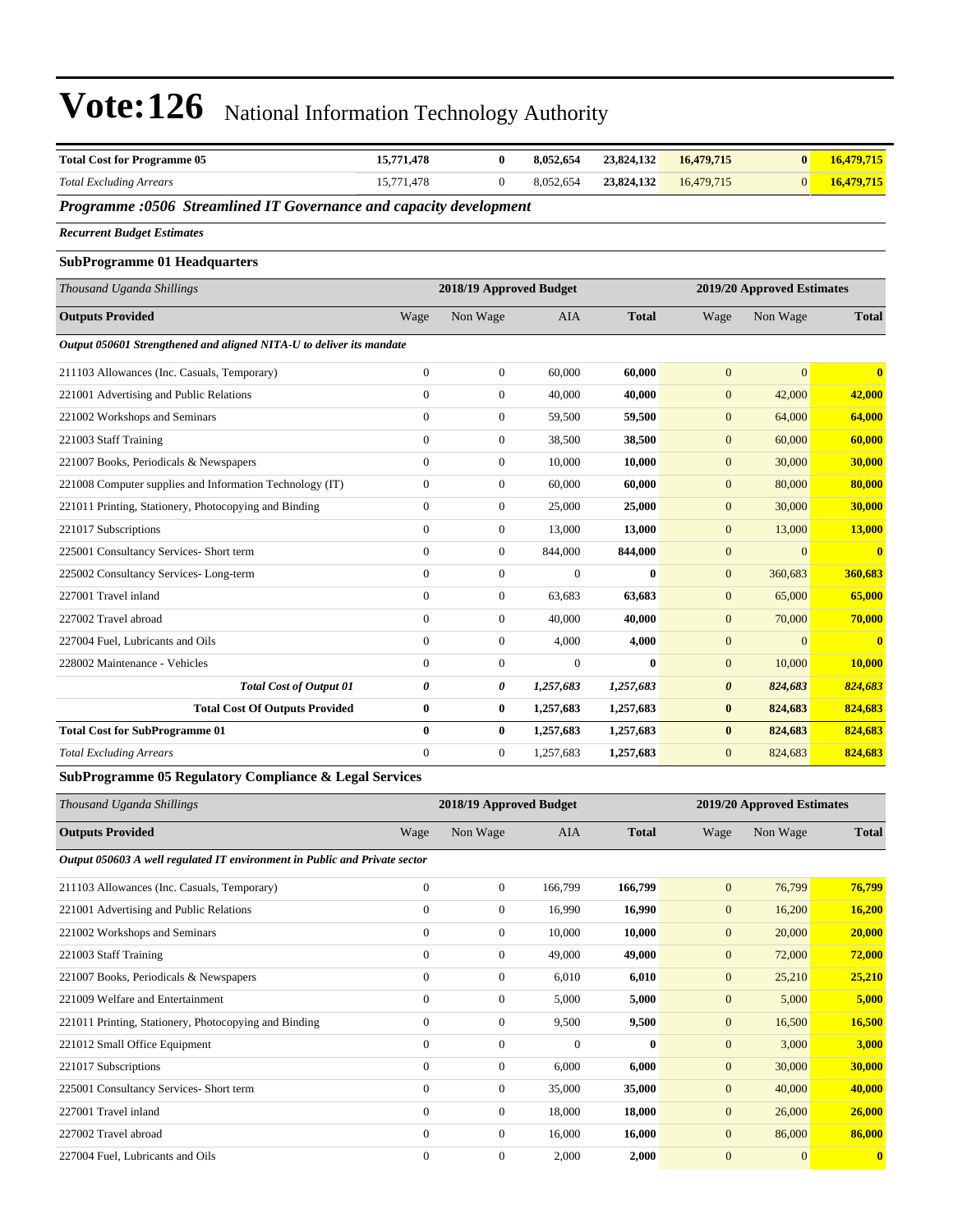| <b>Total Cost for Programme 05</b>                                   | 15,771,478       | $\bf{0}$                | 8,052,654  | 23,824,132   | 16,479,715            | $\bf{0}$                   | 16,479,715              |
|----------------------------------------------------------------------|------------------|-------------------------|------------|--------------|-----------------------|----------------------------|-------------------------|
| <b>Total Excluding Arrears</b>                                       | 15,771,478       | $\overline{0}$          | 8,052,654  | 23,824,132   | 16,479,715            | $\mathbf{0}$               | 16,479,715              |
| Programme :0506 Streamlined IT Governance and capacity development   |                  |                         |            |              |                       |                            |                         |
| <b>Recurrent Budget Estimates</b>                                    |                  |                         |            |              |                       |                            |                         |
| <b>SubProgramme 01 Headquarters</b>                                  |                  |                         |            |              |                       |                            |                         |
| Thousand Uganda Shillings                                            |                  | 2018/19 Approved Budget |            |              |                       | 2019/20 Approved Estimates |                         |
| <b>Outputs Provided</b>                                              | Wage             | Non Wage                | <b>AIA</b> | <b>Total</b> | Wage                  | Non Wage                   | <b>Total</b>            |
| Output 050601 Strengthened and aligned NITA-U to deliver its mandate |                  |                         |            |              |                       |                            |                         |
| 211103 Allowances (Inc. Casuals, Temporary)                          | $\boldsymbol{0}$ | $\boldsymbol{0}$        | 60,000     | 60,000       | $\mathbf{0}$          | $\mathbf{0}$               | $\overline{\mathbf{0}}$ |
| 221001 Advertising and Public Relations                              | $\mathbf{0}$     | $\boldsymbol{0}$        | 40,000     | 40,000       | $\mathbf{0}$          | 42,000                     | 42,000                  |
| 221002 Workshops and Seminars                                        | $\mathbf{0}$     | $\boldsymbol{0}$        | 59,500     | 59,500       | $\mathbf{0}$          | 64,000                     | 64,000                  |
| 221003 Staff Training                                                | $\mathbf{0}$     | $\boldsymbol{0}$        | 38,500     | 38,500       | $\mathbf{0}$          | 60,000                     | 60,000                  |
| 221007 Books, Periodicals & Newspapers                               | $\mathbf{0}$     | $\boldsymbol{0}$        | 10,000     | 10,000       | $\boldsymbol{0}$      | 30,000                     | 30,000                  |
| 221008 Computer supplies and Information Technology (IT)             | $\mathbf{0}$     | $\boldsymbol{0}$        | 60,000     | 60,000       | $\mathbf{0}$          | 80,000                     | 80,000                  |
| 221011 Printing, Stationery, Photocopying and Binding                | $\mathbf{0}$     | $\boldsymbol{0}$        | 25,000     | 25,000       | $\mathbf{0}$          | 30,000                     | 30,000                  |
| 221017 Subscriptions                                                 | $\theta$         | $\boldsymbol{0}$        | 13,000     | 13,000       | $\mathbf{0}$          | 13,000                     | 13,000                  |
| 225001 Consultancy Services- Short term                              | $\mathbf{0}$     | $\boldsymbol{0}$        | 844,000    | 844,000      | $\boldsymbol{0}$      | $\overline{0}$             | $\mathbf{0}$            |
| 225002 Consultancy Services-Long-term                                | $\theta$         | $\boldsymbol{0}$        | $\Omega$   | $\mathbf{0}$ | $\mathbf{0}$          | 360,683                    | 360,683                 |
| 227001 Travel inland                                                 | $\mathbf{0}$     | $\boldsymbol{0}$        | 63,683     | 63,683       | $\mathbf{0}$          | 65,000                     | 65,000                  |
| 227002 Travel abroad                                                 | $\overline{0}$   | $\boldsymbol{0}$        | 40,000     | 40,000       | $\mathbf{0}$          | 70,000                     | 70,000                  |
| 227004 Fuel, Lubricants and Oils                                     | $\mathbf{0}$     | $\boldsymbol{0}$        | 4,000      | 4,000        | $\mathbf{0}$          | $\overline{0}$             | $\overline{0}$          |
| 228002 Maintenance - Vehicles                                        | $\theta$         | $\boldsymbol{0}$        | $\Omega$   | $\mathbf{0}$ | $\mathbf{0}$          | 10,000                     | 10,000                  |
| <b>Total Cost of Output 01</b>                                       | 0                | 0                       | 1,257,683  | 1,257,683    | $\boldsymbol{\theta}$ | 824,683                    | 824,683                 |
| <b>Total Cost Of Outputs Provided</b>                                | $\bf{0}$         | $\bf{0}$                | 1,257,683  | 1,257,683    | $\bf{0}$              | 824,683                    | 824,683                 |
| <b>Total Cost for SubProgramme 01</b>                                | $\bf{0}$         | $\bf{0}$                | 1,257,683  | 1,257,683    | $\bf{0}$              | 824,683                    | 824,683                 |
| <b>Total Excluding Arrears</b>                                       | $\mathbf{0}$     | $\boldsymbol{0}$        | 1,257,683  | 1,257,683    | $\mathbf{0}$          | 824,683                    | 824,683                 |
| SubProgramme 05 Regulatory Compliance & Legal Services               |                  |                         |            |              |                       |                            |                         |
| Thousand Hoanda Shillings                                            |                  | 2018/10 Approved Budget |            |              |                       | 2010/20 Approved Fetimates |                         |

| Thousand Uganda Shillings                                                  |              |                  | 2018/19 Approved Budget |              | 2019/20 Approved Estimates |              |              |  |
|----------------------------------------------------------------------------|--------------|------------------|-------------------------|--------------|----------------------------|--------------|--------------|--|
| <b>Outputs Provided</b>                                                    | Wage         | Non Wage         | AIA                     | <b>Total</b> | Wage                       | Non Wage     | <b>Total</b> |  |
| Output 050603 A well regulated IT environment in Public and Private sector |              |                  |                         |              |                            |              |              |  |
| 211103 Allowances (Inc. Casuals, Temporary)                                | $\mathbf{0}$ | $\boldsymbol{0}$ | 166,799                 | 166,799      | $\overline{0}$             | 76,799       | 76,799       |  |
| 221001 Advertising and Public Relations                                    | $\mathbf{0}$ | $\overline{0}$   | 16,990                  | 16,990       | $\overline{0}$             | 16,200       | 16,200       |  |
| 221002 Workshops and Seminars                                              | $\mathbf{0}$ | $\overline{0}$   | 10,000                  | 10,000       | $\mathbf{0}$               | 20,000       | 20,000       |  |
| 221003 Staff Training                                                      | $\mathbf{0}$ | $\boldsymbol{0}$ | 49,000                  | 49,000       | $\mathbf{0}$               | 72,000       | 72,000       |  |
| 221007 Books, Periodicals & Newspapers                                     | $\mathbf{0}$ | 0                | 6,010                   | 6,010        | $\mathbf{0}$               | 25,210       | 25,210       |  |
| 221009 Welfare and Entertainment                                           | $\mathbf{0}$ | $\boldsymbol{0}$ | 5,000                   | 5,000        | $\mathbf{0}$               | 5,000        | 5,000        |  |
| 221011 Printing, Stationery, Photocopying and Binding                      | $\mathbf{0}$ | 0                | 9,500                   | 9,500        | $\mathbf{0}$               | 16,500       | 16,500       |  |
| 221012 Small Office Equipment                                              | $\mathbf{0}$ | $\overline{0}$   | $\Omega$                | $\mathbf{0}$ | $\mathbf{0}$               | 3,000        | 3,000        |  |
| 221017 Subscriptions                                                       | $\mathbf{0}$ | $\boldsymbol{0}$ | 6,000                   | 6,000        | $\mathbf{0}$               | 30,000       | 30,000       |  |
| 225001 Consultancy Services- Short term                                    | $\mathbf{0}$ | 0                | 35,000                  | 35,000       | $\mathbf{0}$               | 40,000       | 40,000       |  |
| 227001 Travel inland                                                       | $\mathbf{0}$ | 0                | 18,000                  | 18,000       | $\overline{0}$             | 26,000       | 26,000       |  |
| 227002 Travel abroad                                                       | $\mathbf{0}$ | $\overline{0}$   | 16,000                  | 16,000       | $\mathbf{0}$               | 86,000       | 86,000       |  |
| 227004 Fuel, Lubricants and Oils                                           | $\mathbf{0}$ | $\mathbf{0}$     | 2,000                   | 2,000        | $\overline{0}$             | $\mathbf{0}$ | $\mathbf{0}$ |  |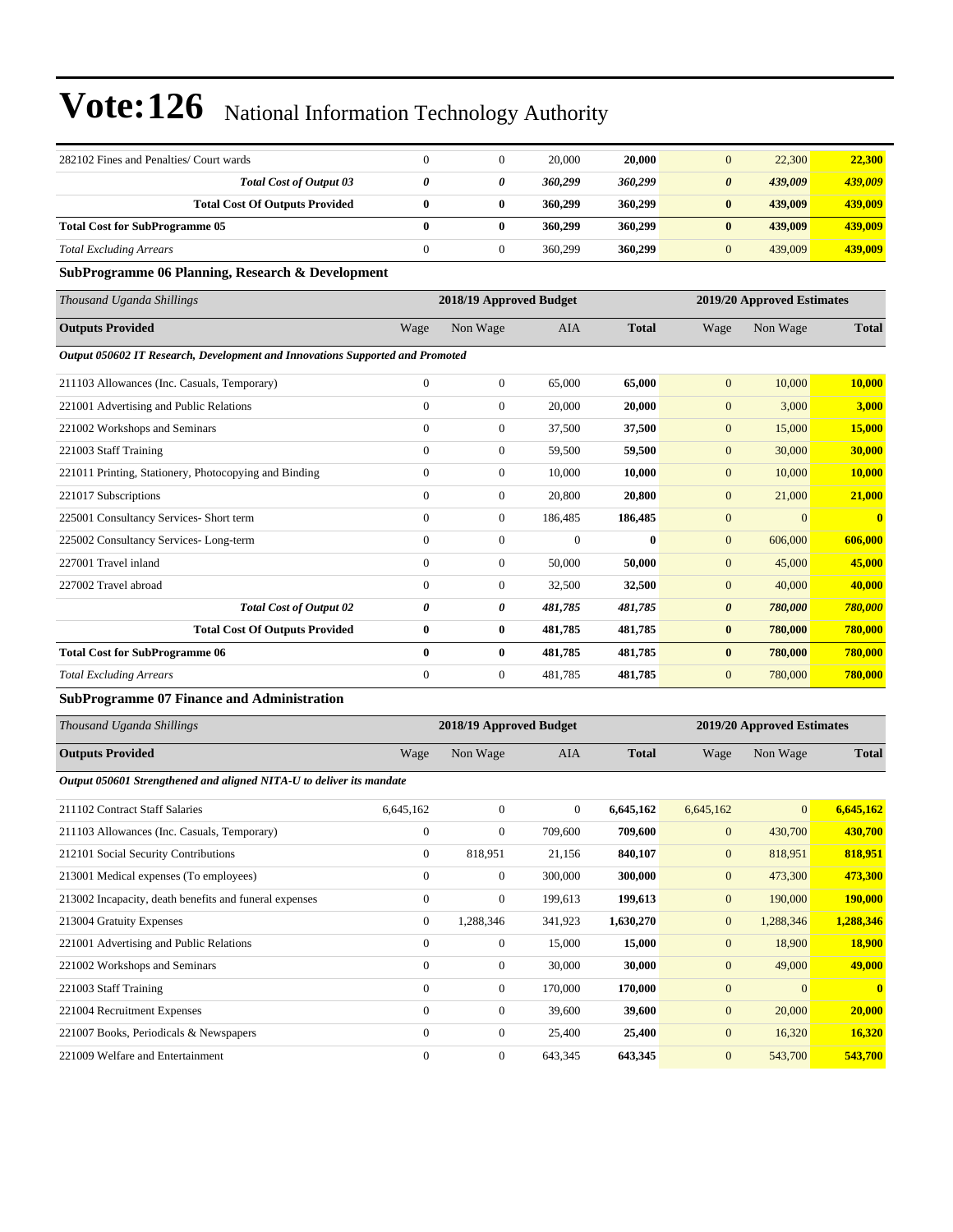| 282102 Fines and Penalties/ Court wards |  | 20,000  | 20.000  | 22,300                           | 22,300  |
|-----------------------------------------|--|---------|---------|----------------------------------|---------|
| <b>Total Cost of Output 03</b>          |  | 360.299 | 360,299 | 439,009<br>$\boldsymbol{\theta}$ | 439,009 |
| <b>Total Cost Of Outputs Provided</b>   |  | 360,299 | 360,299 | 439,009<br>0                     | 439,009 |
| <b>Total Cost for SubProgramme 05</b>   |  | 360,299 | 360,299 | 439,009<br>0                     | 439,009 |
| <b>Total Excluding Arrears</b>          |  | 360,299 | 360,299 | 439,009                          | 439,009 |

#### **SubProgramme 06 Planning, Research & Development**

| Thousand Uganda Shillings                                                     |                | 2018/19 Approved Budget |            | 2019/20 Approved Estimates |                |          |              |
|-------------------------------------------------------------------------------|----------------|-------------------------|------------|----------------------------|----------------|----------|--------------|
| <b>Outputs Provided</b>                                                       | Wage           | Non Wage                | <b>AIA</b> | <b>Total</b>               | Wage           | Non Wage | <b>Total</b> |
| Output 050602 IT Research, Development and Innovations Supported and Promoted |                |                         |            |                            |                |          |              |
| 211103 Allowances (Inc. Casuals, Temporary)                                   | $\mathbf{0}$   | $\mathbf{0}$            | 65,000     | 65,000                     | $\mathbf{0}$   | 10,000   | 10,000       |
| 221001 Advertising and Public Relations                                       | $\mathbf{0}$   | $\mathbf{0}$            | 20,000     | 20,000                     | $\mathbf{0}$   | 3,000    | 3,000        |
| 221002 Workshops and Seminars                                                 | $\mathbf{0}$   | $\mathbf{0}$            | 37,500     | 37,500                     | $\mathbf{0}$   | 15,000   | 15,000       |
| 221003 Staff Training                                                         | $\mathbf{0}$   | $\mathbf{0}$            | 59,500     | 59,500                     | $\mathbf{0}$   | 30,000   | 30,000       |
| 221011 Printing, Stationery, Photocopying and Binding                         | $\mathbf{0}$   | $\mathbf{0}$            | 10.000     | 10,000                     | $\mathbf{0}$   | 10,000   | 10,000       |
| 221017 Subscriptions                                                          | $\theta$       | $\mathbf{0}$            | 20,800     | 20,800                     | $\overline{0}$ | 21,000   | 21,000       |
| 225001 Consultancy Services- Short term                                       | $\Omega$       | $\mathbf{0}$            | 186,485    | 186,485                    | $\overline{0}$ | $\Omega$ | $\mathbf{0}$ |
| 225002 Consultancy Services-Long-term                                         | $\mathbf{0}$   | $\overline{0}$          | $\Omega$   | $\mathbf{0}$               | $\overline{0}$ | 606,000  | 606,000      |
| 227001 Travel inland                                                          | $\mathbf{0}$   | $\mathbf{0}$            | 50,000     | 50,000                     | $\overline{0}$ | 45,000   | 45,000       |
| 227002 Travel abroad                                                          | $\mathbf{0}$   | $\mathbf{0}$            | 32,500     | 32,500                     | $\mathbf{0}$   | 40,000   | 40,000       |
| <b>Total Cost of Output 02</b>                                                | 0              | 0                       | 481,785    | 481,785                    | 0              | 780,000  | 780,000      |
| <b>Total Cost Of Outputs Provided</b>                                         | $\bf{0}$       | 0                       | 481,785    | 481,785                    | $\bf{0}$       | 780,000  | 780,000      |
| <b>Total Cost for SubProgramme 06</b>                                         | $\bf{0}$       | $\bf{0}$                | 481,785    | 481,785                    | $\bf{0}$       | 780,000  | 780,000      |
| <b>Total Excluding Arrears</b>                                                | $\overline{0}$ | $\overline{0}$          | 481,785    | 481,785                    | $\mathbf{0}$   | 780,000  | 780,000      |

#### **SubProgramme 07 Finance and Administration**

| Thousand Uganda Shillings                                            | 2018/19 Approved Budget |                  |                |              | 2019/20 Approved Estimates |                |                |
|----------------------------------------------------------------------|-------------------------|------------------|----------------|--------------|----------------------------|----------------|----------------|
| <b>Outputs Provided</b>                                              | Wage                    | Non Wage         | <b>AIA</b>     | <b>Total</b> | Wage                       | Non Wage       | <b>Total</b>   |
| Output 050601 Strengthened and aligned NITA-U to deliver its mandate |                         |                  |                |              |                            |                |                |
| 211102 Contract Staff Salaries                                       | 6,645,162               | $\overline{0}$   | $\overline{0}$ | 6,645,162    | 6,645,162                  | $\mathbf{0}$   | 6,645,162      |
| 211103 Allowances (Inc. Casuals, Temporary)                          | $\mathbf{0}$            | $\boldsymbol{0}$ | 709,600        | 709,600      | $\mathbf{0}$               | 430,700        | 430,700        |
| 212101 Social Security Contributions                                 | $\mathbf{0}$            | 818,951          | 21,156         | 840,107      | $\mathbf{0}$               | 818,951        | 818,951        |
| 213001 Medical expenses (To employees)                               | $\mathbf{0}$            | 0                | 300,000        | 300,000      | $\mathbf{0}$               | 473,300        | 473,300        |
| 213002 Incapacity, death benefits and funeral expenses               | $\boldsymbol{0}$        | 0                | 199,613        | 199,613      | $\mathbf{0}$               | 190,000        | <b>190,000</b> |
| 213004 Gratuity Expenses                                             | $\mathbf{0}$            | 1,288,346        | 341,923        | 1,630,270    | $\mathbf{0}$               | 1,288,346      | 1,288,346      |
| 221001 Advertising and Public Relations                              | $\mathbf{0}$            | 0                | 15,000         | 15,000       | $\mathbf{0}$               | 18,900         | <b>18,900</b>  |
| 221002 Workshops and Seminars                                        | $\mathbf{0}$            | 0                | 30,000         | 30,000       | $\mathbf{0}$               | 49,000         | 49,000         |
| 221003 Staff Training                                                | $\mathbf{0}$            | 0                | 170,000        | 170,000      | $\mathbf{0}$               | $\overline{0}$ | $\mathbf{0}$   |
| 221004 Recruitment Expenses                                          | $\mathbf{0}$            | 0                | 39,600         | 39,600       | $\mathbf{0}$               | 20,000         | 20,000         |
| 221007 Books, Periodicals & Newspapers                               | $\mathbf{0}$            | $\overline{0}$   | 25,400         | 25,400       | $\mathbf{0}$               | 16,320         | 16,320         |
| 221009 Welfare and Entertainment                                     | $\mathbf{0}$            | $\boldsymbol{0}$ | 643,345        | 643,345      | $\mathbf{0}$               | 543,700        | 543,700        |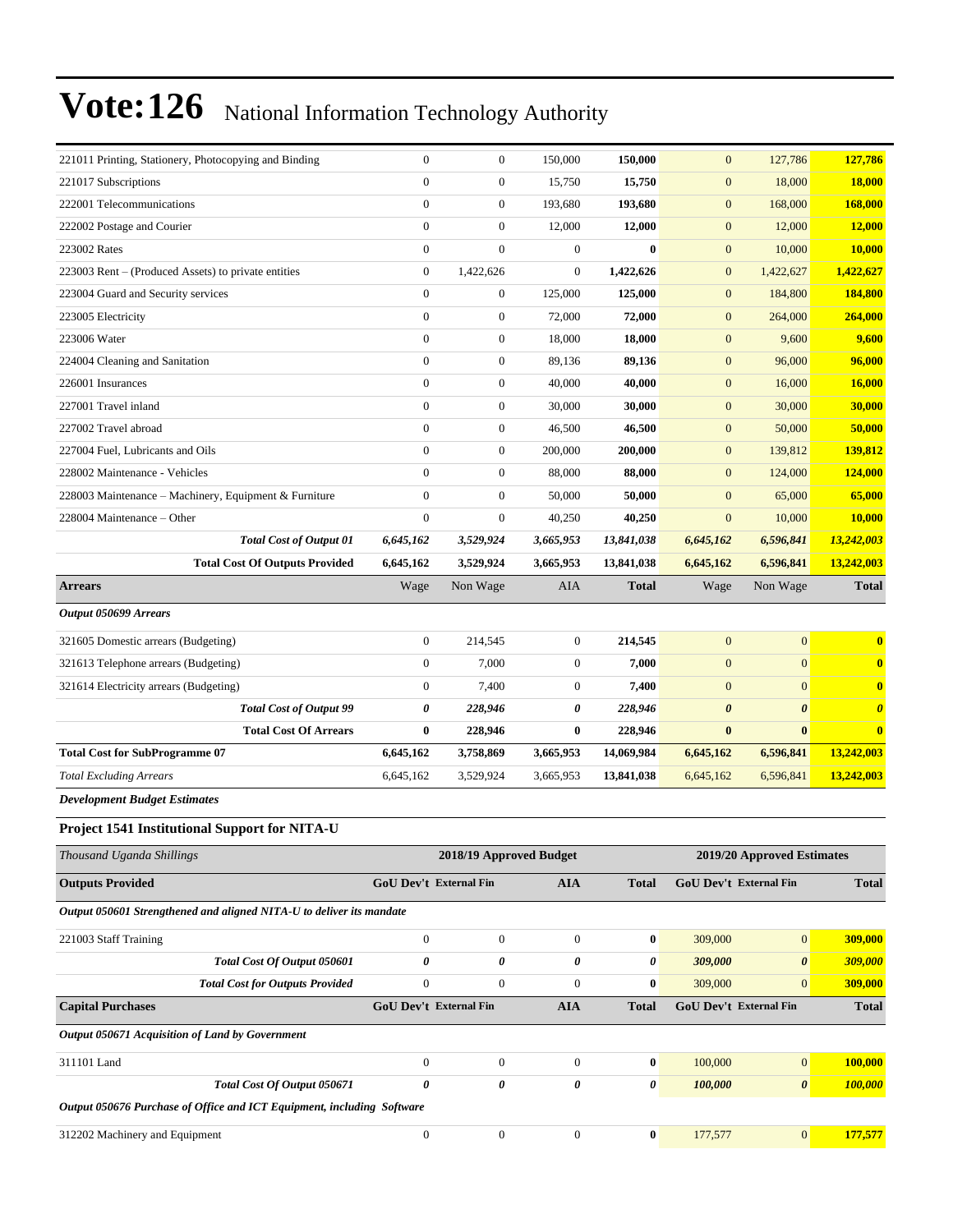| 221011 Printing, Stationery, Photocopying and Binding |                                       | $\boldsymbol{0}$        | $\boldsymbol{0}$ | 150,000          | 150,000      | $\mathbf{0}$          | 127,786                    | 127,786               |  |
|-------------------------------------------------------|---------------------------------------|-------------------------|------------------|------------------|--------------|-----------------------|----------------------------|-----------------------|--|
| 221017 Subscriptions                                  |                                       | $\overline{0}$          | $\boldsymbol{0}$ | 15,750           | 15,750       | $\boldsymbol{0}$      | 18,000                     | <b>18,000</b>         |  |
| 222001 Telecommunications                             |                                       | $\overline{0}$          | $\boldsymbol{0}$ | 193,680          | 193,680      | $\mathbf{0}$          | 168,000                    | 168,000               |  |
| 222002 Postage and Courier                            |                                       | $\boldsymbol{0}$        | $\boldsymbol{0}$ | 12,000           | 12,000       | $\boldsymbol{0}$      | 12,000                     | 12,000                |  |
| 223002 Rates                                          |                                       | $\overline{0}$          | $\overline{0}$   | $\overline{0}$   | $\bf{0}$     | $\boldsymbol{0}$      | 10,000                     | 10,000                |  |
| 223003 Rent – (Produced Assets) to private entities   |                                       | $\mathbf{0}$            | 1,422,626        | $\overline{0}$   | 1,422,626    | $\mathbf{0}$          | 1,422,627                  | 1,422,627             |  |
| 223004 Guard and Security services                    |                                       | $\boldsymbol{0}$        | $\boldsymbol{0}$ | 125,000          | 125,000      | $\mathbf{0}$          | 184,800                    | 184,800               |  |
| 223005 Electricity                                    |                                       | $\overline{0}$          | $\boldsymbol{0}$ | 72,000           | 72,000       | $\mathbf{0}$          | 264,000                    | 264,000               |  |
| 223006 Water                                          |                                       | $\mathbf{0}$            | $\boldsymbol{0}$ | 18,000           | 18,000       | $\mathbf{0}$          | 9,600                      | 9,600                 |  |
| 224004 Cleaning and Sanitation                        |                                       | $\boldsymbol{0}$        | $\boldsymbol{0}$ | 89,136           | 89,136       | $\boldsymbol{0}$      | 96,000                     | 96,000                |  |
| 226001 Insurances                                     |                                       | $\overline{0}$          | $\boldsymbol{0}$ | 40,000           | 40,000       | $\mathbf{0}$          | 16,000                     | 16,000                |  |
| 227001 Travel inland                                  |                                       | $\mathbf{0}$            | $\mathbf{0}$     | 30,000           | 30,000       | $\mathbf{0}$          | 30,000                     | 30,000                |  |
| 227002 Travel abroad                                  |                                       | $\boldsymbol{0}$        | $\boldsymbol{0}$ | 46,500           | 46,500       | $\boldsymbol{0}$      | 50,000                     | 50,000                |  |
| 227004 Fuel, Lubricants and Oils                      |                                       | $\overline{0}$          | $\boldsymbol{0}$ | 200,000          | 200,000      | $\mathbf{0}$          | 139,812                    | 139,812               |  |
| 228002 Maintenance - Vehicles                         |                                       | $\mathbf{0}$            | $\mathbf{0}$     | 88,000           | 88,000       | $\mathbf{0}$          | 124,000                    | 124,000               |  |
| 228003 Maintenance – Machinery, Equipment & Furniture |                                       | $\boldsymbol{0}$        | $\boldsymbol{0}$ | 50,000           | 50,000       | $\mathbf{0}$          | 65,000                     | 65,000                |  |
| 228004 Maintenance - Other                            |                                       | $\overline{0}$          | $\mathbf{0}$     | 40,250           | 40,250       | $\mathbf{0}$          | 10,000                     | 10,000                |  |
|                                                       | <b>Total Cost of Output 01</b>        | 6,645,162               | 3,529,924        | 3,665,953        | 13,841,038   | 6,645,162             | 6,596,841                  | 13,242,003            |  |
|                                                       | <b>Total Cost Of Outputs Provided</b> | 6,645,162               | 3,529,924        | 3,665,953        | 13,841,038   | 6,645,162             | 6,596,841                  | 13,242,003            |  |
| <b>Arrears</b>                                        |                                       | Wage                    | Non Wage         | <b>AIA</b>       | <b>Total</b> | Wage                  | Non Wage                   | <b>Total</b>          |  |
| Output 050699 Arrears                                 |                                       |                         |                  |                  |              |                       |                            |                       |  |
| 321605 Domestic arrears (Budgeting)                   |                                       | $\boldsymbol{0}$        | 214,545          | $\mathbf{0}$     | 214,545      | $\mathbf{0}$          | $\mathbf{0}$               | $\bf{0}$              |  |
| 321613 Telephone arrears (Budgeting)                  |                                       | $\boldsymbol{0}$        | 7,000            | $\boldsymbol{0}$ | 7,000        | $\boldsymbol{0}$      | $\mathbf{0}$               | $\bf{0}$              |  |
| 321614 Electricity arrears (Budgeting)                |                                       | $\boldsymbol{0}$        | 7,400            | $\boldsymbol{0}$ | 7,400        | $\boldsymbol{0}$      | $\mathbf{0}$               | $\bf{0}$              |  |
|                                                       | <b>Total Cost of Output 99</b>        | 0                       | 228,946          | 0                | 228,946      | $\boldsymbol{\theta}$ | $\boldsymbol{\theta}$      | $\boldsymbol{\theta}$ |  |
|                                                       | <b>Total Cost Of Arrears</b>          | $\bf{0}$                | 228,946          | $\bf{0}$         | 228,946      | $\bf{0}$              | $\bf{0}$                   | $\bf{0}$              |  |
| <b>Total Cost for SubProgramme 07</b>                 |                                       | 6,645,162               | 3,758,869        | 3,665,953        | 14,069,984   | 6,645,162             | 6,596,841                  | 13,242,003            |  |
| <b>Total Excluding Arrears</b>                        |                                       | 6,645,162               | 3,529,924        | 3,665,953        | 13,841,038   | 6,645,162             | 6,596,841                  | 13,242,003            |  |
| <b>Development Budget Estimates</b>                   |                                       |                         |                  |                  |              |                       |                            |                       |  |
| Project 1541 Institutional Support for NITA-U         |                                       |                         |                  |                  |              |                       |                            |                       |  |
| Thousand Uganda Shillings                             |                                       | 2018/19 Approved Budget |                  |                  |              |                       | 2019/20 Approved Estimates |                       |  |

| Inousana Uganda Shillings                                              | 2018/19 Approved Budget       |                  | 2019/20 Approved Estimates |                       |                               |                       |                |
|------------------------------------------------------------------------|-------------------------------|------------------|----------------------------|-----------------------|-------------------------------|-----------------------|----------------|
| <b>Outputs Provided</b>                                                | <b>GoU Dev't External Fin</b> |                  | <b>AIA</b>                 | <b>Total</b>          | <b>GoU Dev't External Fin</b> |                       | <b>Total</b>   |
| Output 050601 Strengthened and aligned NITA-U to deliver its mandate   |                               |                  |                            |                       |                               |                       |                |
| 221003 Staff Training                                                  | $\mathbf{0}$                  | $\boldsymbol{0}$ | $\mathbf{0}$               | $\mathbf{0}$          | 309,000                       | $\mathbf{0}$          | 309,000        |
| Total Cost Of Output 050601                                            | 0                             | 0                | 0                          | $\theta$              | 309,000                       | $\boldsymbol{\theta}$ | 309,000        |
| <b>Total Cost for Outputs Provided</b>                                 | $\boldsymbol{0}$              | $\boldsymbol{0}$ | $\mathbf{0}$               | $\bf{0}$              | 309,000                       | $\mathbf{0}$          | 309,000        |
| <b>Capital Purchases</b>                                               | <b>GoU Dev't External Fin</b> |                  | AIA                        | <b>Total</b>          | <b>GoU Dev't External Fin</b> |                       | <b>Total</b>   |
| Output 050671 Acquisition of Land by Government                        |                               |                  |                            |                       |                               |                       |                |
| 311101 Land                                                            | $\Omega$                      | $\mathbf{0}$     | $\Omega$                   | $\bf{0}$              | 100,000                       | $\overline{0}$        | <b>100,000</b> |
| Total Cost Of Output 050671                                            | 0                             | 0                | 0                          | $\boldsymbol{\theta}$ | 100,000                       | $\boldsymbol{\theta}$ | 100,000        |
| Output 050676 Purchase of Office and ICT Equipment, including Software |                               |                  |                            |                       |                               |                       |                |
| 312202 Machinery and Equipment                                         | $\mathbf{0}$                  | $\mathbf{0}$     | $\mathbf{0}$               | $\bf{0}$              | 177,577                       | $\mathbf{0}$          | 177,577        |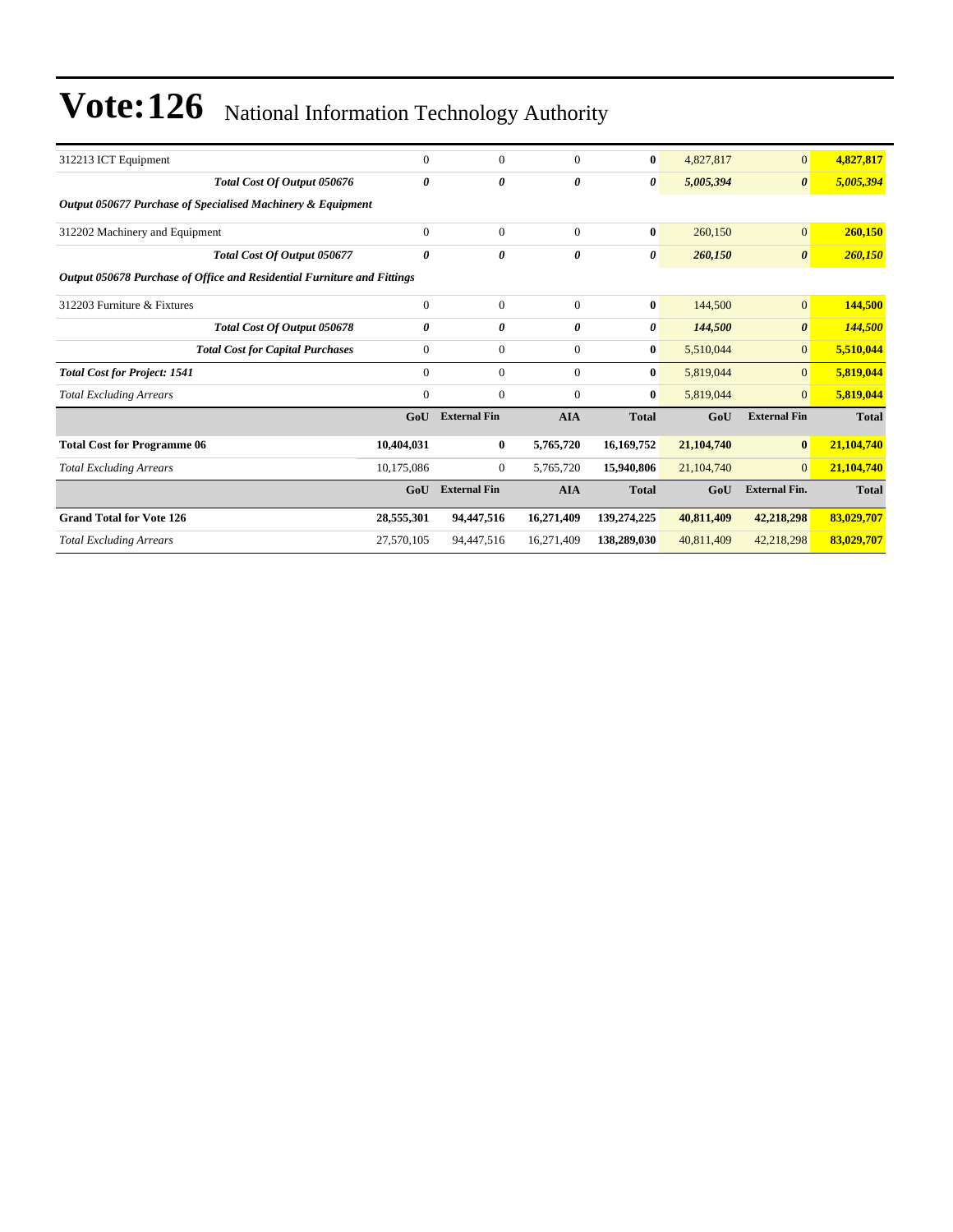| $\theta$                                                                | $\Omega$                                                    | $\mathbf{0}$ | $\bf{0}$     | 4,827,817  | $\overline{0}$        | 4,827,817    |
|-------------------------------------------------------------------------|-------------------------------------------------------------|--------------|--------------|------------|-----------------------|--------------|
| 0                                                                       | 0                                                           | $\theta$     | 0            | 5,005,394  | $\boldsymbol{\theta}$ | 5,005,394    |
|                                                                         |                                                             |              |              |            |                       |              |
| $\theta$                                                                | $\Omega$                                                    | $\mathbf{0}$ | $\bf{0}$     | 260,150    | $\overline{0}$        | 260,150      |
| 0                                                                       | 0                                                           | $\theta$     | 0            | 260,150    | $\boldsymbol{\theta}$ | 260,150      |
| Output 050678 Purchase of Office and Residential Furniture and Fittings |                                                             |              |              |            |                       |              |
| $\theta$                                                                | $\Omega$                                                    | $\mathbf{0}$ | $\bf{0}$     | 144,500    | $\mathbf{0}$          | 144,500      |
| 0                                                                       | 0                                                           | $\theta$     | 0            | 144,500    | $\boldsymbol{\theta}$ | 144,500      |
| $\mathbf{0}$                                                            | $\theta$                                                    | $\mathbf{0}$ | $\bf{0}$     | 5,510,044  | $\overline{0}$        | 5,510,044    |
| $\overline{0}$                                                          | $\mathbf{0}$                                                | $\mathbf{0}$ | $\bf{0}$     | 5,819,044  | $\overline{0}$        | 5,819,044    |
| 0                                                                       | $\Omega$                                                    | $\mathbf{0}$ | $\bf{0}$     | 5,819,044  | $\overline{0}$        | 5,819,044    |
| GoU                                                                     | <b>External Fin</b>                                         | <b>AIA</b>   | <b>Total</b> | GoU        | <b>External Fin</b>   | <b>Total</b> |
| 10,404,031                                                              | $\bf{0}$                                                    | 5,765,720    | 16,169,752   | 21,104,740 | $\bf{0}$              | 21,104,740   |
| 10,175,086                                                              | $\mathbf{0}$                                                | 5,765,720    | 15,940,806   | 21,104,740 | $\overline{0}$        | 21,104,740   |
| GoU                                                                     | <b>External Fin</b>                                         | <b>AIA</b>   | <b>Total</b> | GoU        | <b>External Fin.</b>  | <b>Total</b> |
| 28,555,301                                                              | 94,447,516                                                  | 16,271,409   | 139,274,225  | 40,811,409 | 42,218,298            | 83,029,707   |
| 27,570,105                                                              | 94,447,516                                                  | 16,271,409   | 138,289,030  | 40,811,409 | 42,218,298            | 83,029,707   |
|                                                                         | Output 050677 Purchase of Specialised Machinery & Equipment |              |              |            |                       |              |